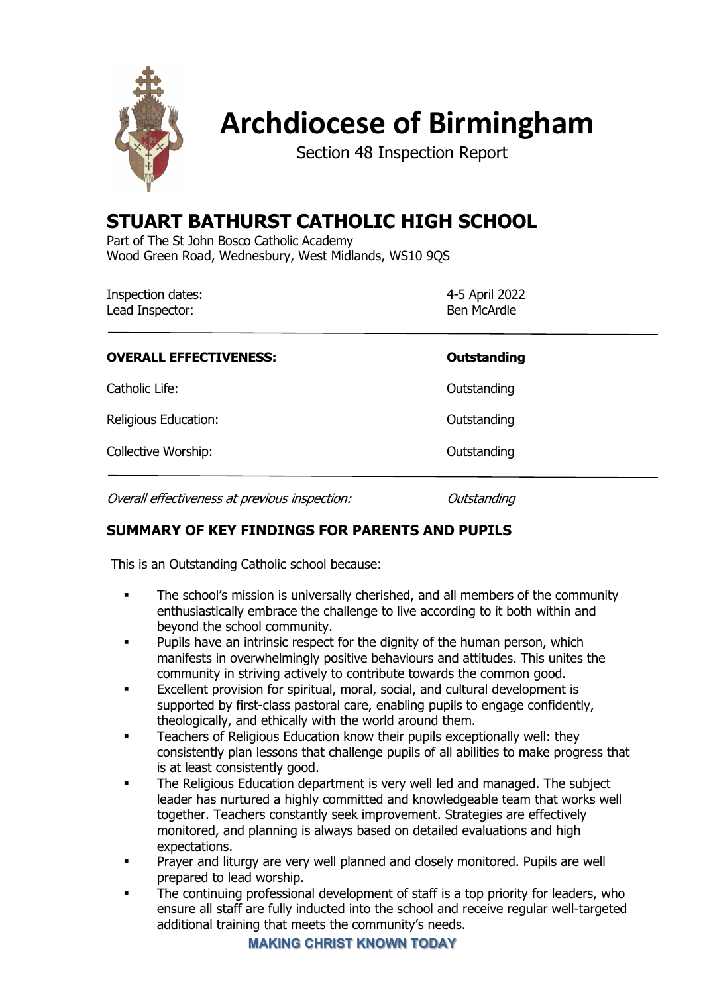

# **Archdiocese of Birmingham**

Section 48 Inspection Report

# **STUART BATHURST CATHOLIC HIGH SCHOOL**

Part of The St John Bosco Catholic Academy Wood Green Road, Wednesbury, West Midlands, WS10 9QS

| Inspection dates: | 4-5 April 2022     |
|-------------------|--------------------|
| Lead Inspector:   | <b>Ben McArdle</b> |

| <b>OVERALL EFFECTIVENESS:</b>                 | <b>Outstanding</b> |
|-----------------------------------------------|--------------------|
| Catholic Life:                                | Outstanding        |
| Religious Education:                          | Outstanding        |
| Collective Worship:                           | Outstanding        |
| Overall effectiveness at previous inspection: | Outstanding        |

# **SUMMARY OF KEY FINDINGS FOR PARENTS AND PUPILS**

This is an Outstanding Catholic school because:

- The school's mission is universally cherished, and all members of the community enthusiastically embrace the challenge to live according to it both within and beyond the school community.
- Pupils have an intrinsic respect for the dignity of the human person, which manifests in overwhelmingly positive behaviours and attitudes. This unites the community in striving actively to contribute towards the common good.
- Excellent provision for spiritual, moral, social, and cultural development is supported by first-class pastoral care, enabling pupils to engage confidently, theologically, and ethically with the world around them.
- Teachers of Religious Education know their pupils exceptionally well: they consistently plan lessons that challenge pupils of all abilities to make progress that is at least consistently good.
- The Religious Education department is very well led and managed. The subject leader has nurtured a highly committed and knowledgeable team that works well together. Teachers constantly seek improvement. Strategies are effectively monitored, and planning is always based on detailed evaluations and high expectations.
- Prayer and liturgy are very well planned and closely monitored. Pupils are well prepared to lead worship.
- The continuing professional development of staff is a top priority for leaders, who ensure all staff are fully inducted into the school and receive regular well-targeted additional training that meets the community's needs.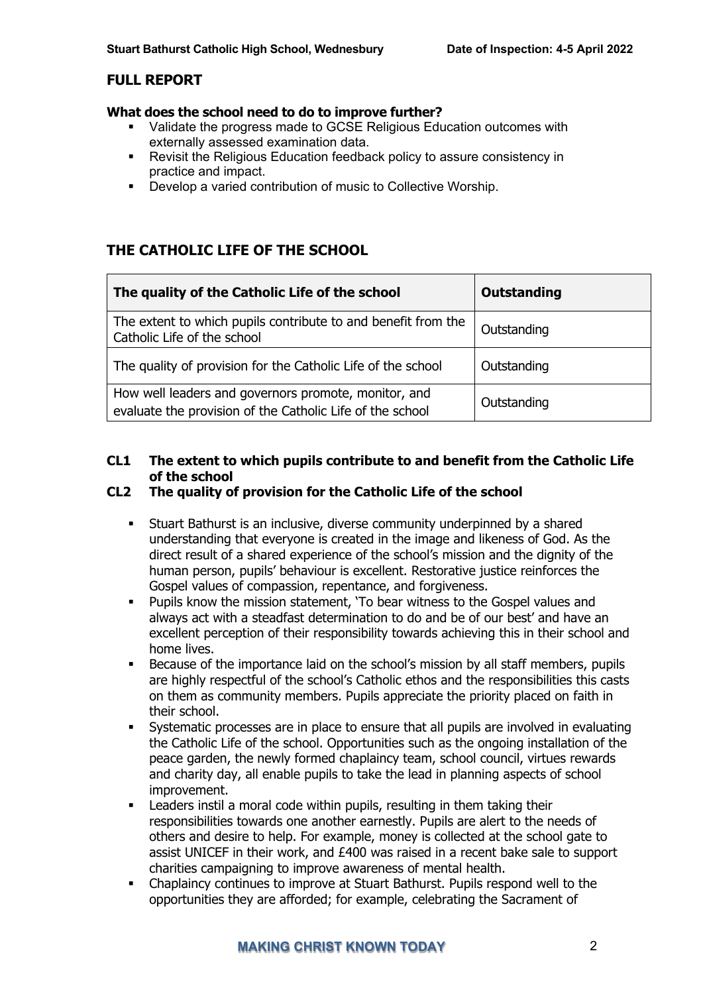# **FULL REPORT**

#### **What does the school need to do to improve further?**

- Validate the progress made to GCSE Religious Education outcomes with externally assessed examination data.
- Revisit the Religious Education feedback policy to assure consistency in practice and impact.
- Develop a varied contribution of music to Collective Worship.

# **THE CATHOLIC LIFE OF THE SCHOOL**

| The quality of the Catholic Life of the school                                                                    | Outstanding |
|-------------------------------------------------------------------------------------------------------------------|-------------|
| The extent to which pupils contribute to and benefit from the<br>Catholic Life of the school                      | Outstanding |
| The quality of provision for the Catholic Life of the school                                                      | Outstanding |
| How well leaders and governors promote, monitor, and<br>evaluate the provision of the Catholic Life of the school | Outstanding |

# **CL1 The extent to which pupils contribute to and benefit from the Catholic Life of the school**

## **CL2 The quality of provision for the Catholic Life of the school**

- **•** Stuart Bathurst is an inclusive, diverse community underpinned by a shared understanding that everyone is created in the image and likeness of God. As the direct result of a shared experience of the school's mission and the dignity of the human person, pupils' behaviour is excellent. Restorative justice reinforces the Gospel values of compassion, repentance, and forgiveness.
- § Pupils know the mission statement, 'To bear witness to the Gospel values and always act with a steadfast determination to do and be of our best' and have an excellent perception of their responsibility towards achieving this in their school and home lives.
- Because of the importance laid on the school's mission by all staff members, pupils are highly respectful of the school's Catholic ethos and the responsibilities this casts on them as community members. Pupils appreciate the priority placed on faith in their school.
- Systematic processes are in place to ensure that all pupils are involved in evaluating the Catholic Life of the school. Opportunities such as the ongoing installation of the peace garden, the newly formed chaplaincy team, school council, virtues rewards and charity day, all enable pupils to take the lead in planning aspects of school improvement.
- Leaders instil a moral code within pupils, resulting in them taking their responsibilities towards one another earnestly. Pupils are alert to the needs of others and desire to help. For example, money is collected at the school gate to assist UNICEF in their work, and £400 was raised in a recent bake sale to support charities campaigning to improve awareness of mental health.
- Chaplaincy continues to improve at Stuart Bathurst. Pupils respond well to the opportunities they are afforded; for example, celebrating the Sacrament of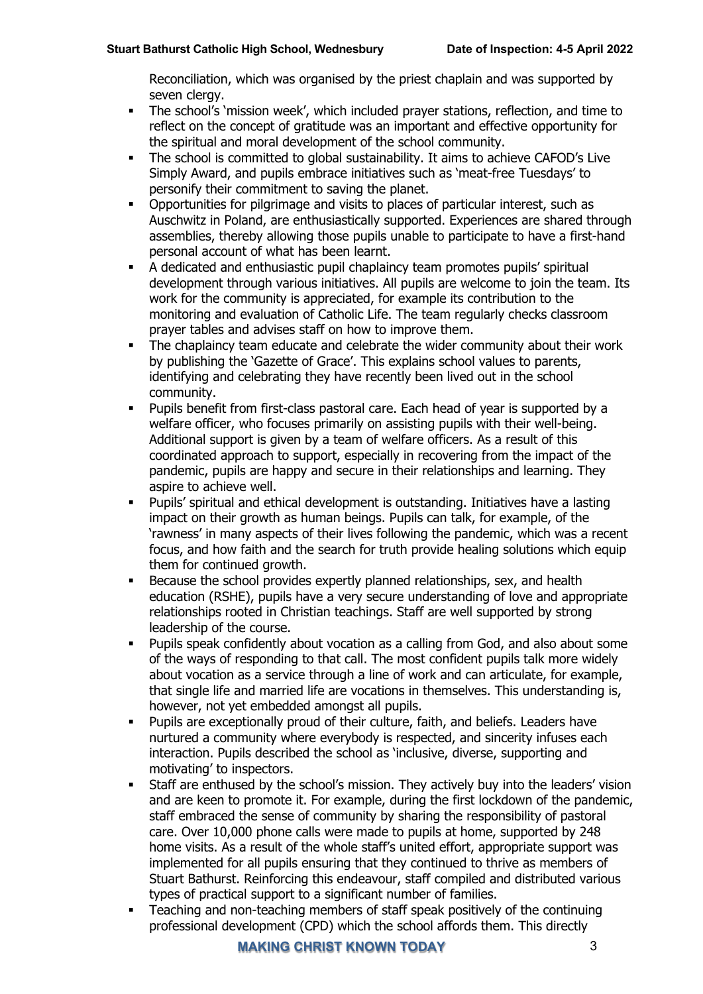Reconciliation, which was organised by the priest chaplain and was supported by seven clergy.

- The school's 'mission week', which included prayer stations, reflection, and time to reflect on the concept of gratitude was an important and effective opportunity for the spiritual and moral development of the school community.
- § The school is committed to global sustainability. It aims to achieve CAFOD's Live Simply Award, and pupils embrace initiatives such as 'meat-free Tuesdays' to personify their commitment to saving the planet.
- § Opportunities for pilgrimage and visits to places of particular interest, such as Auschwitz in Poland, are enthusiastically supported. Experiences are shared through assemblies, thereby allowing those pupils unable to participate to have a first-hand personal account of what has been learnt.
- § A dedicated and enthusiastic pupil chaplaincy team promotes pupils' spiritual development through various initiatives. All pupils are welcome to join the team. Its work for the community is appreciated, for example its contribution to the monitoring and evaluation of Catholic Life. The team regularly checks classroom prayer tables and advises staff on how to improve them.
- The chaplaincy team educate and celebrate the wider community about their work by publishing the 'Gazette of Grace'. This explains school values to parents, identifying and celebrating they have recently been lived out in the school community.
- § Pupils benefit from first-class pastoral care. Each head of year is supported by a welfare officer, who focuses primarily on assisting pupils with their well-being. Additional support is given by a team of welfare officers. As a result of this coordinated approach to support, especially in recovering from the impact of the pandemic, pupils are happy and secure in their relationships and learning. They aspire to achieve well.
- § Pupils' spiritual and ethical development is outstanding. Initiatives have a lasting impact on their growth as human beings. Pupils can talk, for example, of the 'rawness' in many aspects of their lives following the pandemic, which was a recent focus, and how faith and the search for truth provide healing solutions which equip them for continued growth.
- Because the school provides expertly planned relationships, sex, and health education (RSHE), pupils have a very secure understanding of love and appropriate relationships rooted in Christian teachings. Staff are well supported by strong leadership of the course.
- Pupils speak confidently about vocation as a calling from God, and also about some of the ways of responding to that call. The most confident pupils talk more widely about vocation as a service through a line of work and can articulate, for example, that single life and married life are vocations in themselves. This understanding is, however, not yet embedded amongst all pupils.
- § Pupils are exceptionally proud of their culture, faith, and beliefs. Leaders have nurtured a community where everybody is respected, and sincerity infuses each interaction. Pupils described the school as 'inclusive, diverse, supporting and motivating' to inspectors.
- Staff are enthused by the school's mission. They actively buy into the leaders' vision and are keen to promote it. For example, during the first lockdown of the pandemic, staff embraced the sense of community by sharing the responsibility of pastoral care. Over 10,000 phone calls were made to pupils at home, supported by 248 home visits. As a result of the whole staff's united effort, appropriate support was implemented for all pupils ensuring that they continued to thrive as members of Stuart Bathurst. Reinforcing this endeavour, staff compiled and distributed various types of practical support to a significant number of families.
- § Teaching and non-teaching members of staff speak positively of the continuing professional development (CPD) which the school affords them. This directly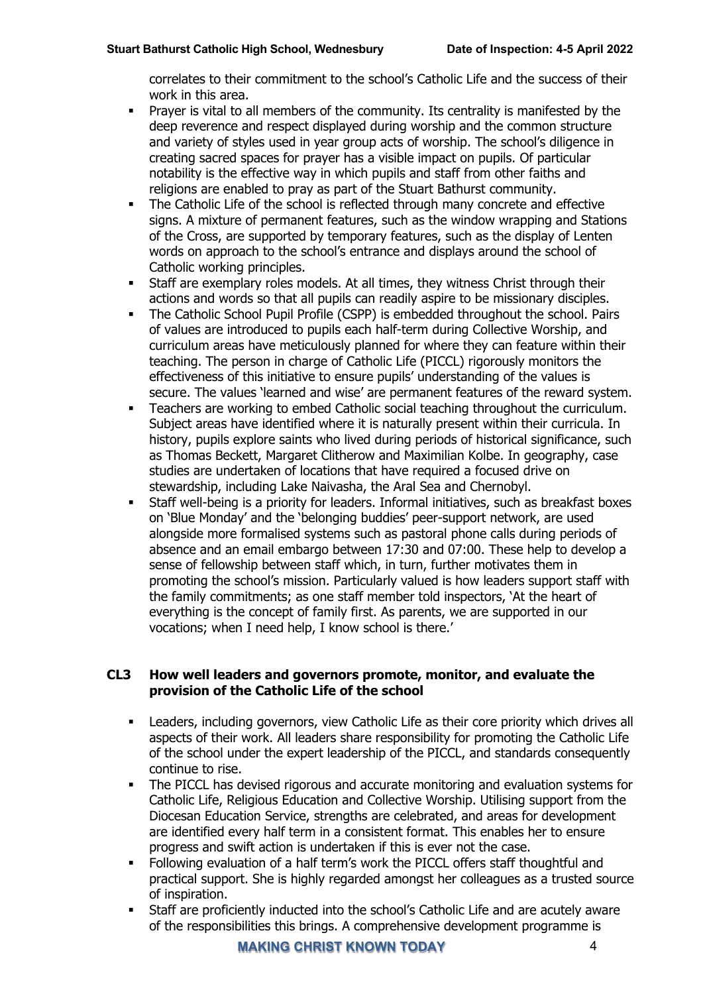correlates to their commitment to the school's Catholic Life and the success of their work in this area.

- **•** Prayer is vital to all members of the community. Its centrality is manifested by the deep reverence and respect displayed during worship and the common structure and variety of styles used in year group acts of worship. The school's diligence in creating sacred spaces for prayer has a visible impact on pupils. Of particular notability is the effective way in which pupils and staff from other faiths and religions are enabled to pray as part of the Stuart Bathurst community.
- The Catholic Life of the school is reflected through many concrete and effective signs. A mixture of permanent features, such as the window wrapping and Stations of the Cross, are supported by temporary features, such as the display of Lenten words on approach to the school's entrance and displays around the school of Catholic working principles.
- Staff are exemplary roles models. At all times, they witness Christ through their actions and words so that all pupils can readily aspire to be missionary disciples.
- The Catholic School Pupil Profile (CSPP) is embedded throughout the school. Pairs of values are introduced to pupils each half-term during Collective Worship, and curriculum areas have meticulously planned for where they can feature within their teaching. The person in charge of Catholic Life (PICCL) rigorously monitors the effectiveness of this initiative to ensure pupils' understanding of the values is secure. The values 'learned and wise' are permanent features of the reward system.
- § Teachers are working to embed Catholic social teaching throughout the curriculum. Subject areas have identified where it is naturally present within their curricula. In history, pupils explore saints who lived during periods of historical significance, such as Thomas Beckett, Margaret Clitherow and Maximilian Kolbe. In geography, case studies are undertaken of locations that have required a focused drive on stewardship, including Lake Naivasha, the Aral Sea and Chernobyl.
- § Staff well-being is a priority for leaders. Informal initiatives, such as breakfast boxes on 'Blue Monday' and the 'belonging buddies' peer-support network, are used alongside more formalised systems such as pastoral phone calls during periods of absence and an email embargo between 17:30 and 07:00. These help to develop a sense of fellowship between staff which, in turn, further motivates them in promoting the school's mission. Particularly valued is how leaders support staff with the family commitments; as one staff member told inspectors, 'At the heart of everything is the concept of family first. As parents, we are supported in our vocations; when I need help, I know school is there.'

#### **CL3 How well leaders and governors promote, monitor, and evaluate the provision of the Catholic Life of the school**

- Leaders, including governors, view Catholic Life as their core priority which drives all aspects of their work. All leaders share responsibility for promoting the Catholic Life of the school under the expert leadership of the PICCL, and standards consequently continue to rise.
- The PICCL has devised rigorous and accurate monitoring and evaluation systems for Catholic Life, Religious Education and Collective Worship. Utilising support from the Diocesan Education Service, strengths are celebrated, and areas for development are identified every half term in a consistent format. This enables her to ensure progress and swift action is undertaken if this is ever not the case.
- Following evaluation of a half term's work the PICCL offers staff thoughtful and practical support. She is highly regarded amongst her colleagues as a trusted source of inspiration.
- Staff are proficiently inducted into the school's Catholic Life and are acutely aware of the responsibilities this brings. A comprehensive development programme is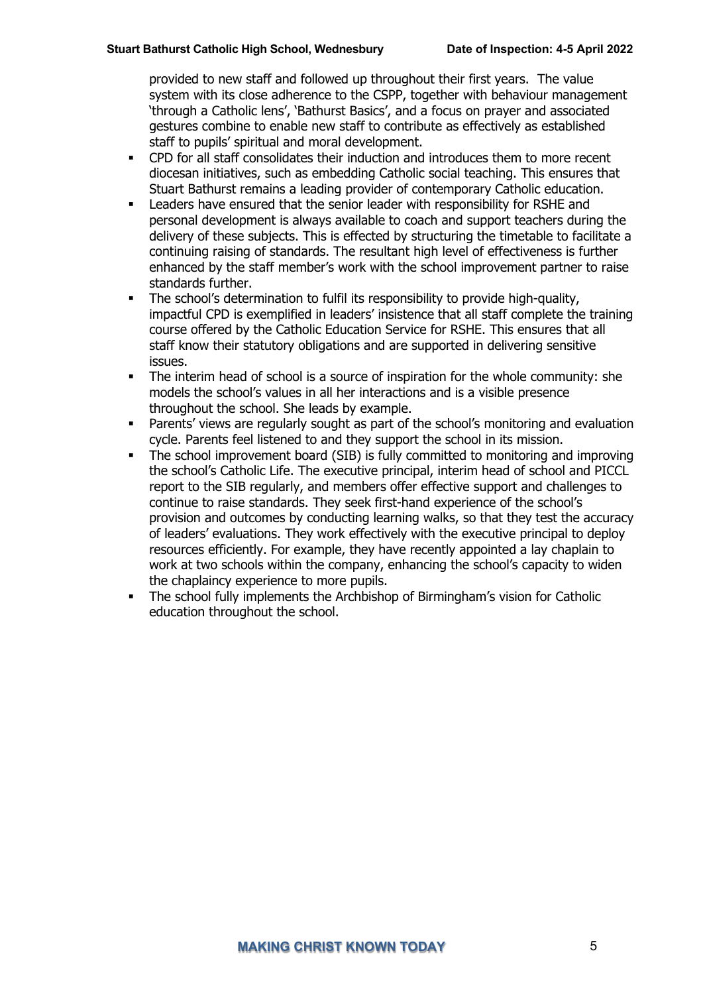provided to new staff and followed up throughout their first years. The value system with its close adherence to the CSPP, together with behaviour management 'through a Catholic lens', 'Bathurst Basics', and a focus on prayer and associated gestures combine to enable new staff to contribute as effectively as established staff to pupils' spiritual and moral development.

- § CPD for all staff consolidates their induction and introduces them to more recent diocesan initiatives, such as embedding Catholic social teaching. This ensures that Stuart Bathurst remains a leading provider of contemporary Catholic education.
- § Leaders have ensured that the senior leader with responsibility for RSHE and personal development is always available to coach and support teachers during the delivery of these subjects. This is effected by structuring the timetable to facilitate a continuing raising of standards. The resultant high level of effectiveness is further enhanced by the staff member's work with the school improvement partner to raise standards further.
- The school's determination to fulfil its responsibility to provide high-quality, impactful CPD is exemplified in leaders' insistence that all staff complete the training course offered by the Catholic Education Service for RSHE. This ensures that all staff know their statutory obligations and are supported in delivering sensitive issues.
- The interim head of school is a source of inspiration for the whole community: she models the school's values in all her interactions and is a visible presence throughout the school. She leads by example.
- Parents' views are regularly sought as part of the school's monitoring and evaluation cycle. Parents feel listened to and they support the school in its mission.
- The school improvement board (SIB) is fully committed to monitoring and improving the school's Catholic Life. The executive principal, interim head of school and PICCL report to the SIB regularly, and members offer effective support and challenges to continue to raise standards. They seek first-hand experience of the school's provision and outcomes by conducting learning walks, so that they test the accuracy of leaders' evaluations. They work effectively with the executive principal to deploy resources efficiently. For example, they have recently appointed a lay chaplain to work at two schools within the company, enhancing the school's capacity to widen the chaplaincy experience to more pupils.
- § The school fully implements the Archbishop of Birmingham's vision for Catholic education throughout the school.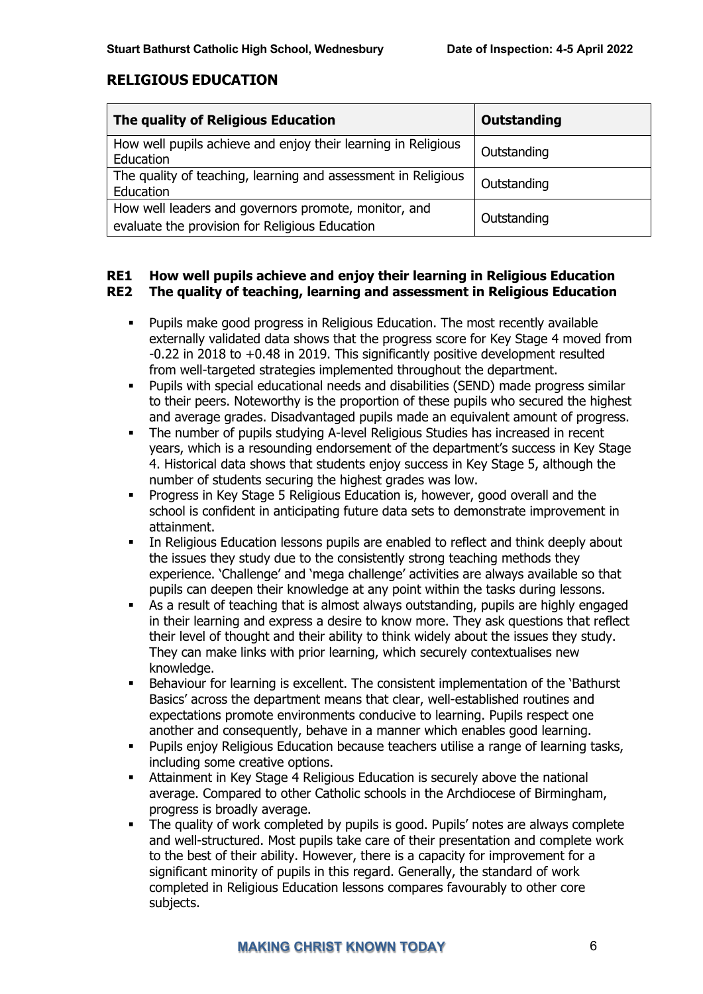# **RELIGIOUS EDUCATION**

| The quality of Religious Education                                                                     | <b>Outstanding</b> |
|--------------------------------------------------------------------------------------------------------|--------------------|
| How well pupils achieve and enjoy their learning in Religious<br>Education                             | Outstanding        |
| The quality of teaching, learning and assessment in Religious<br>Education                             | Outstanding        |
| How well leaders and governors promote, monitor, and<br>evaluate the provision for Religious Education | Outstanding        |

#### **RE1 How well pupils achieve and enjoy their learning in Religious Education RE2 The quality of teaching, learning and assessment in Religious Education**

- § Pupils make good progress in Religious Education. The most recently available externally validated data shows that the progress score for Key Stage 4 moved from -0.22 in 2018 to +0.48 in 2019. This significantly positive development resulted from well-targeted strategies implemented throughout the department.
- Pupils with special educational needs and disabilities (SEND) made progress similar to their peers. Noteworthy is the proportion of these pupils who secured the highest and average grades. Disadvantaged pupils made an equivalent amount of progress.
- The number of pupils studying A-level Religious Studies has increased in recent years, which is a resounding endorsement of the department's success in Key Stage 4. Historical data shows that students enjoy success in Key Stage 5, although the number of students securing the highest grades was low.
- Progress in Key Stage 5 Religious Education is, however, good overall and the school is confident in anticipating future data sets to demonstrate improvement in attainment.
- In Religious Education lessons pupils are enabled to reflect and think deeply about the issues they study due to the consistently strong teaching methods they experience. 'Challenge' and 'mega challenge' activities are always available so that pupils can deepen their knowledge at any point within the tasks during lessons.
- As a result of teaching that is almost always outstanding, pupils are highly engaged in their learning and express a desire to know more. They ask questions that reflect their level of thought and their ability to think widely about the issues they study. They can make links with prior learning, which securely contextualises new knowledge.
- § Behaviour for learning is excellent. The consistent implementation of the 'Bathurst Basics' across the department means that clear, well-established routines and expectations promote environments conducive to learning. Pupils respect one another and consequently, behave in a manner which enables good learning.
- Pupils enjoy Religious Education because teachers utilise a range of learning tasks, including some creative options.
- **EXTED Attainment in Key Stage 4 Religious Education is securely above the national** average. Compared to other Catholic schools in the Archdiocese of Birmingham, progress is broadly average.
- The quality of work completed by pupils is good. Pupils' notes are always complete and well-structured. Most pupils take care of their presentation and complete work to the best of their ability. However, there is a capacity for improvement for a significant minority of pupils in this regard. Generally, the standard of work completed in Religious Education lessons compares favourably to other core subjects.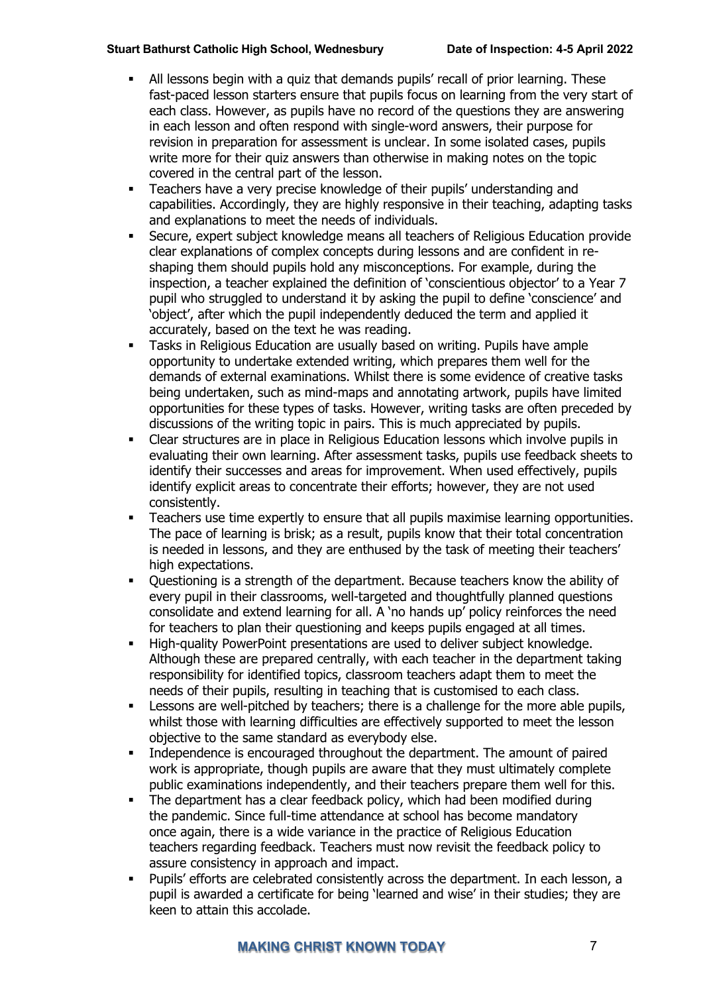- § All lessons begin with a quiz that demands pupils' recall of prior learning. These fast-paced lesson starters ensure that pupils focus on learning from the very start of each class. However, as pupils have no record of the questions they are answering in each lesson and often respond with single-word answers, their purpose for revision in preparation for assessment is unclear. In some isolated cases, pupils write more for their quiz answers than otherwise in making notes on the topic covered in the central part of the lesson.
- **•** Teachers have a very precise knowledge of their pupils' understanding and capabilities. Accordingly, they are highly responsive in their teaching, adapting tasks and explanations to meet the needs of individuals.
- § Secure, expert subject knowledge means all teachers of Religious Education provide clear explanations of complex concepts during lessons and are confident in reshaping them should pupils hold any misconceptions. For example, during the inspection, a teacher explained the definition of 'conscientious objector' to a Year 7 pupil who struggled to understand it by asking the pupil to define 'conscience' and 'object', after which the pupil independently deduced the term and applied it accurately, based on the text he was reading.
- Tasks in Religious Education are usually based on writing. Pupils have ample opportunity to undertake extended writing, which prepares them well for the demands of external examinations. Whilst there is some evidence of creative tasks being undertaken, such as mind-maps and annotating artwork, pupils have limited opportunities for these types of tasks. However, writing tasks are often preceded by discussions of the writing topic in pairs. This is much appreciated by pupils.
- § Clear structures are in place in Religious Education lessons which involve pupils in evaluating their own learning. After assessment tasks, pupils use feedback sheets to identify their successes and areas for improvement. When used effectively, pupils identify explicit areas to concentrate their efforts; however, they are not used consistently.
- Teachers use time expertly to ensure that all pupils maximise learning opportunities. The pace of learning is brisk; as a result, pupils know that their total concentration is needed in lessons, and they are enthused by the task of meeting their teachers' high expectations.
- § Questioning is a strength of the department. Because teachers know the ability of every pupil in their classrooms, well-targeted and thoughtfully planned questions consolidate and extend learning for all. A 'no hands up' policy reinforces the need for teachers to plan their questioning and keeps pupils engaged at all times.
- § High-quality PowerPoint presentations are used to deliver subject knowledge. Although these are prepared centrally, with each teacher in the department taking responsibility for identified topics, classroom teachers adapt them to meet the needs of their pupils, resulting in teaching that is customised to each class.
- Lessons are well-pitched by teachers; there is a challenge for the more able pupils, whilst those with learning difficulties are effectively supported to meet the lesson objective to the same standard as everybody else.
- Independence is encouraged throughout the department. The amount of paired work is appropriate, though pupils are aware that they must ultimately complete public examinations independently, and their teachers prepare them well for this.
- The department has a clear feedback policy, which had been modified during the pandemic. Since full-time attendance at school has become mandatory once again, there is a wide variance in the practice of Religious Education teachers regarding feedback. Teachers must now revisit the feedback policy to assure consistency in approach and impact.
- § Pupils' efforts are celebrated consistently across the department. In each lesson, a pupil is awarded a certificate for being 'learned and wise' in their studies; they are keen to attain this accolade.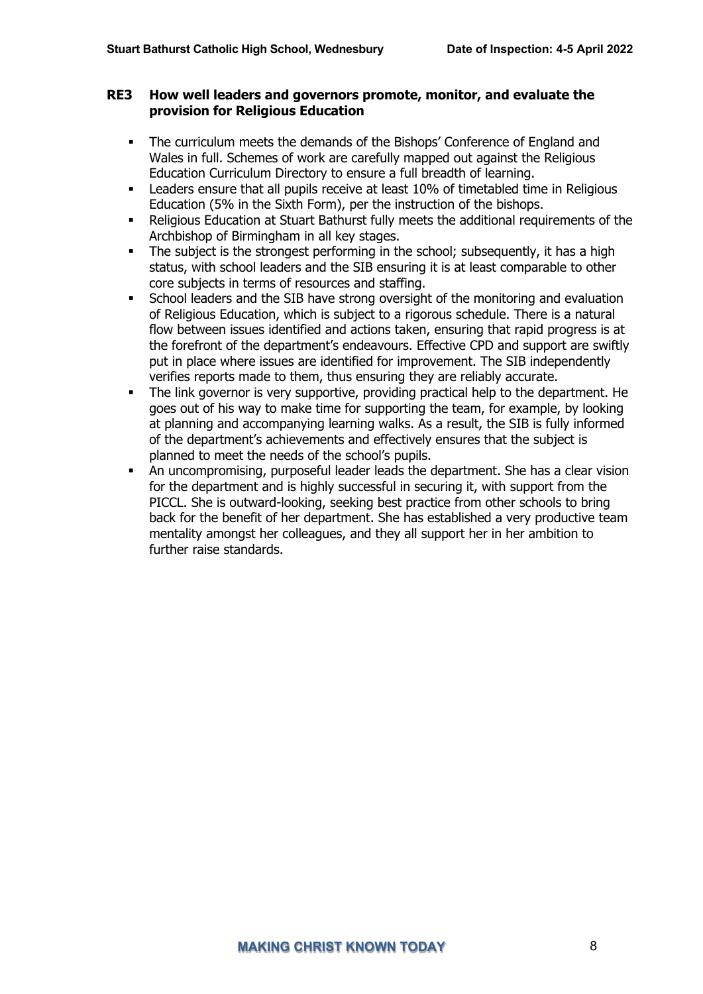#### **RE3 How well leaders and governors promote, monitor, and evaluate the provision for Religious Education**

- The curriculum meets the demands of the Bishops' Conference of England and Wales in full. Schemes of work are carefully mapped out against the Religious Education Curriculum Directory to ensure a full breadth of learning.
- Leaders ensure that all pupils receive at least 10% of timetabled time in Religious Education (5% in the Sixth Form), per the instruction of the bishops.
- Religious Education at Stuart Bathurst fully meets the additional requirements of the Archbishop of Birmingham in all key stages.
- The subject is the strongest performing in the school; subsequently, it has a high status, with school leaders and the SIB ensuring it is at least comparable to other core subjects in terms of resources and staffing.
- School leaders and the SIB have strong oversight of the monitoring and evaluation of Religious Education, which is subject to a rigorous schedule. There is a natural flow between issues identified and actions taken, ensuring that rapid progress is at the forefront of the department's endeavours. Effective CPD and support are swiftly put in place where issues are identified for improvement. The SIB independently verifies reports made to them, thus ensuring they are reliably accurate.
- The link governor is very supportive, providing practical help to the department. He goes out of his way to make time for supporting the team, for example, by looking at planning and accompanying learning walks. As a result, the SIB is fully informed of the department's achievements and effectively ensures that the subject is planned to meet the needs of the school's pupils.
- An uncompromising, purposeful leader leads the department. She has a clear vision for the department and is highly successful in securing it, with support from the PICCL. She is outward-looking, seeking best practice from other schools to bring back for the benefit of her department. She has established a very productive team mentality amongst her colleagues, and they all support her in her ambition to further raise standards.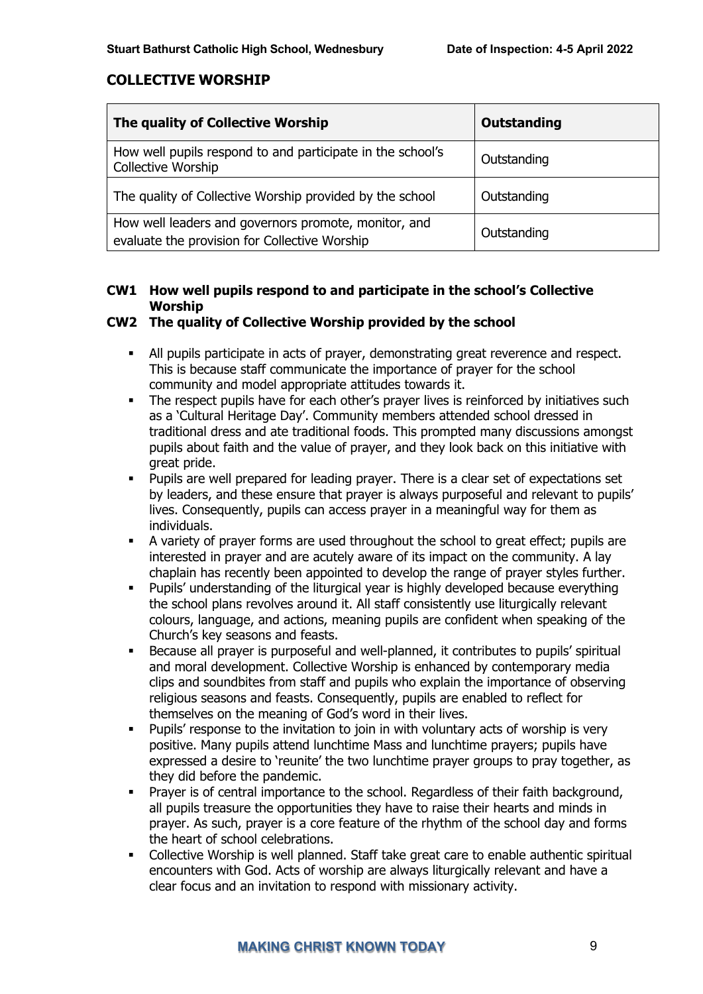# **COLLECTIVE WORSHIP**

| The quality of Collective Worship                                                                     | Outstanding |
|-------------------------------------------------------------------------------------------------------|-------------|
| How well pupils respond to and participate in the school's<br>Collective Worship                      | Outstanding |
| The quality of Collective Worship provided by the school                                              | Outstanding |
| How well leaders and governors promote, monitor, and<br>evaluate the provision for Collective Worship | Outstanding |

# **CW1 How well pupils respond to and participate in the school's Collective Worship**

## **CW2 The quality of Collective Worship provided by the school**

- All pupils participate in acts of prayer, demonstrating great reverence and respect. This is because staff communicate the importance of prayer for the school community and model appropriate attitudes towards it.
- The respect pupils have for each other's prayer lives is reinforced by initiatives such as a 'Cultural Heritage Day'. Community members attended school dressed in traditional dress and ate traditional foods. This prompted many discussions amongst pupils about faith and the value of prayer, and they look back on this initiative with great pride.
- Pupils are well prepared for leading prayer. There is a clear set of expectations set by leaders, and these ensure that prayer is always purposeful and relevant to pupils' lives. Consequently, pupils can access prayer in a meaningful way for them as individuals.
- A variety of prayer forms are used throughout the school to great effect; pupils are interested in prayer and are acutely aware of its impact on the community. A lay chaplain has recently been appointed to develop the range of prayer styles further.
- Pupils' understanding of the liturgical year is highly developed because everything the school plans revolves around it. All staff consistently use liturgically relevant colours, language, and actions, meaning pupils are confident when speaking of the Church's key seasons and feasts.
- Because all prayer is purposeful and well-planned, it contributes to pupils' spiritual and moral development. Collective Worship is enhanced by contemporary media clips and soundbites from staff and pupils who explain the importance of observing religious seasons and feasts. Consequently, pupils are enabled to reflect for themselves on the meaning of God's word in their lives.
- Pupils' response to the invitation to join in with voluntary acts of worship is very positive. Many pupils attend lunchtime Mass and lunchtime prayers; pupils have expressed a desire to 'reunite' the two lunchtime prayer groups to pray together, as they did before the pandemic.
- Prayer is of central importance to the school. Regardless of their faith background, all pupils treasure the opportunities they have to raise their hearts and minds in prayer. As such, prayer is a core feature of the rhythm of the school day and forms the heart of school celebrations.
- Collective Worship is well planned. Staff take great care to enable authentic spiritual encounters with God. Acts of worship are always liturgically relevant and have a clear focus and an invitation to respond with missionary activity.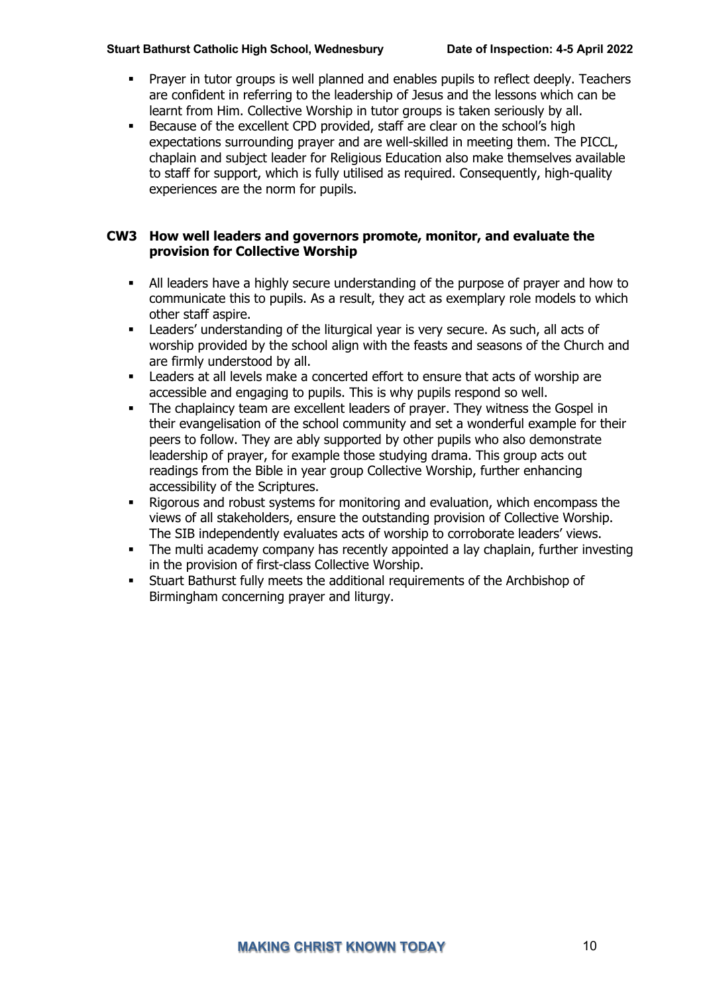- Prayer in tutor groups is well planned and enables pupils to reflect deeply. Teachers are confident in referring to the leadership of Jesus and the lessons which can be learnt from Him. Collective Worship in tutor groups is taken seriously by all.
- § Because of the excellent CPD provided, staff are clear on the school's high expectations surrounding prayer and are well-skilled in meeting them. The PICCL, chaplain and subject leader for Religious Education also make themselves available to staff for support, which is fully utilised as required. Consequently, high-quality experiences are the norm for pupils.

#### **CW3 How well leaders and governors promote, monitor, and evaluate the provision for Collective Worship**

- § All leaders have a highly secure understanding of the purpose of prayer and how to communicate this to pupils. As a result, they act as exemplary role models to which other staff aspire.
- Leaders' understanding of the liturgical year is very secure. As such, all acts of worship provided by the school align with the feasts and seasons of the Church and are firmly understood by all.
- § Leaders at all levels make a concerted effort to ensure that acts of worship are accessible and engaging to pupils. This is why pupils respond so well.
- The chaplaincy team are excellent leaders of prayer. They witness the Gospel in their evangelisation of the school community and set a wonderful example for their peers to follow. They are ably supported by other pupils who also demonstrate leadership of prayer, for example those studying drama. This group acts out readings from the Bible in year group Collective Worship, further enhancing accessibility of the Scriptures.
- § Rigorous and robust systems for monitoring and evaluation, which encompass the views of all stakeholders, ensure the outstanding provision of Collective Worship. The SIB independently evaluates acts of worship to corroborate leaders' views.
- The multi academy company has recently appointed a lay chaplain, further investing in the provision of first-class Collective Worship.
- § Stuart Bathurst fully meets the additional requirements of the Archbishop of Birmingham concerning prayer and liturgy.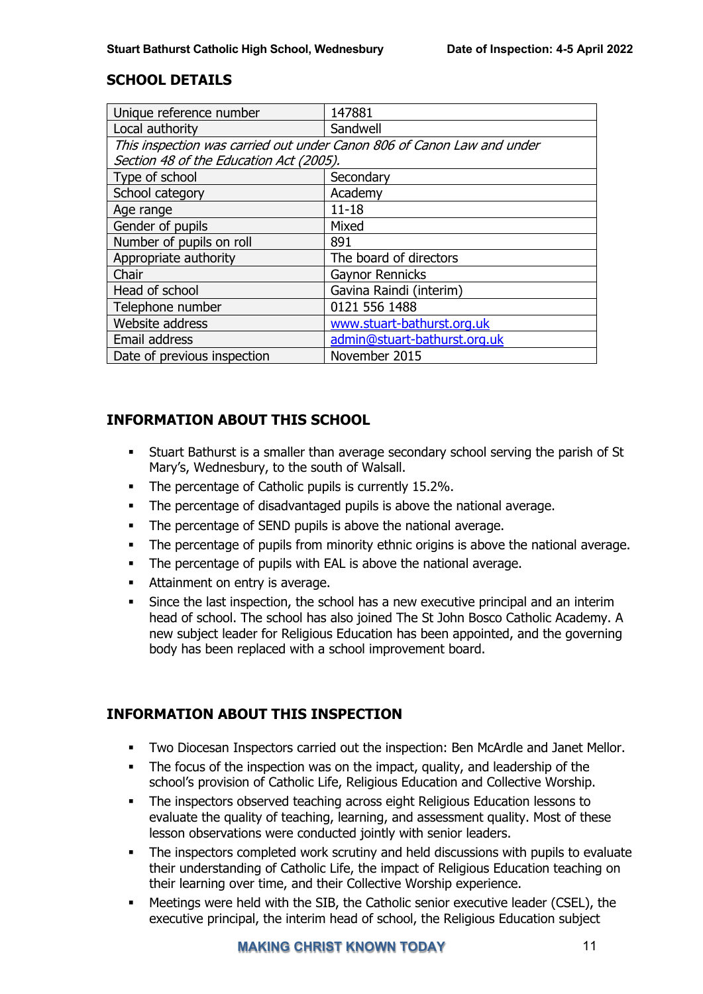# **SCHOOL DETAILS**

| Unique reference number                                                | 147881                       |  |
|------------------------------------------------------------------------|------------------------------|--|
| Local authority                                                        | Sandwell                     |  |
| This inspection was carried out under Canon 806 of Canon Law and under |                              |  |
| Section 48 of the Education Act (2005).                                |                              |  |
| Type of school                                                         | Secondary                    |  |
| School category                                                        | Academy                      |  |
| Age range                                                              | $11 - 18$                    |  |
| Gender of pupils                                                       | Mixed                        |  |
| Number of pupils on roll                                               | 891                          |  |
| Appropriate authority                                                  | The board of directors       |  |
| Chair                                                                  | <b>Gaynor Rennicks</b>       |  |
| Head of school                                                         | Gavina Raindi (interim)      |  |
| Telephone number                                                       | 0121 556 1488                |  |
| Website address                                                        | www.stuart-bathurst.org.uk   |  |
| Email address                                                          | admin@stuart-bathurst.org.uk |  |
| Date of previous inspection                                            | November 2015                |  |

# **INFORMATION ABOUT THIS SCHOOL**

- § Stuart Bathurst is a smaller than average secondary school serving the parish of St Mary's, Wednesbury, to the south of Walsall.
- The percentage of Catholic pupils is currently 15.2%.
- The percentage of disadvantaged pupils is above the national average.
- The percentage of SEND pupils is above the national average.
- The percentage of pupils from minority ethnic origins is above the national average.
- The percentage of pupils with EAL is above the national average.
- Attainment on entry is average.
- Since the last inspection, the school has a new executive principal and an interim head of school. The school has also joined The St John Bosco Catholic Academy. A new subject leader for Religious Education has been appointed, and the governing body has been replaced with a school improvement board.

# **INFORMATION ABOUT THIS INSPECTION**

- § Two Diocesan Inspectors carried out the inspection: Ben McArdle and Janet Mellor.
- The focus of the inspection was on the impact, quality, and leadership of the school's provision of Catholic Life, Religious Education and Collective Worship.
- The inspectors observed teaching across eight Religious Education lessons to evaluate the quality of teaching, learning, and assessment quality. Most of these lesson observations were conducted jointly with senior leaders.
- The inspectors completed work scrutiny and held discussions with pupils to evaluate their understanding of Catholic Life, the impact of Religious Education teaching on their learning over time, and their Collective Worship experience.
- Meetings were held with the SIB, the Catholic senior executive leader (CSEL), the executive principal, the interim head of school, the Religious Education subject